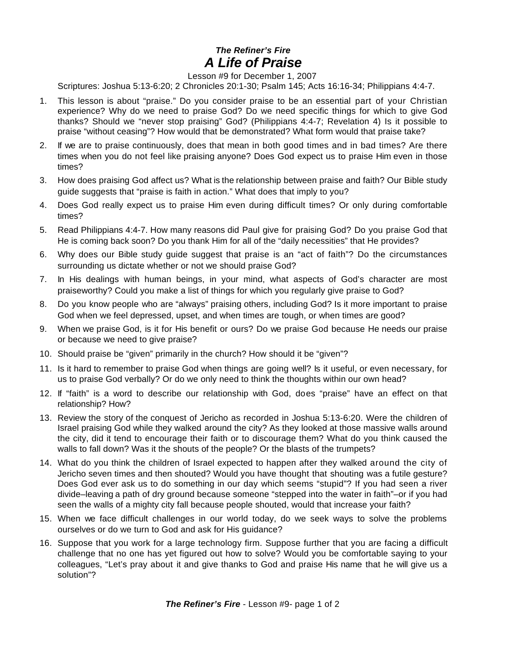## *The Refiner's Fire A Life of Praise*

Lesson #9 for December 1, 2007

Scriptures: Joshua 5:13-6:20; 2 Chronicles 20:1-30; Psalm 145; Acts 16:16-34; Philippians 4:4-7.

- 1. This lesson is about "praise." Do you consider praise to be an essential part of your Christian experience? Why do we need to praise God? Do we need specific things for which to give God thanks? Should we "never stop praising" God? (Philippians 4:4-7; Revelation 4) Is it possible to praise "without ceasing"? How would that be demonstrated? What form would that praise take?
- 2. If we are to praise continuously, does that mean in both good times and in bad times? Are there times when you do not feel like praising anyone? Does God expect us to praise Him even in those times?
- 3. How does praising God affect us? What is the relationship between praise and faith? Our Bible study guide suggests that "praise is faith in action." What does that imply to you?
- 4. Does God really expect us to praise Him even during difficult times? Or only during comfortable times?
- 5. Read Philippians 4:4-7. How many reasons did Paul give for praising God? Do you praise God that He is coming back soon? Do you thank Him for all of the "daily necessities" that He provides?
- 6. Why does our Bible study guide suggest that praise is an "act of faith"? Do the circumstances surrounding us dictate whether or not we should praise God?
- 7. In His dealings with human beings, in your mind, what aspects of God's character are most praiseworthy? Could you make a list of things for which you regularly give praise to God?
- 8. Do you know people who are "always" praising others, including God? Is it more important to praise God when we feel depressed, upset, and when times are tough, or when times are good?
- 9. When we praise God, is it for His benefit or ours? Do we praise God because He needs our praise or because we need to give praise?
- 10. Should praise be "given" primarily in the church? How should it be "given"?
- 11. Is it hard to remember to praise God when things are going well? Is it useful, or even necessary, for us to praise God verbally? Or do we only need to think the thoughts within our own head?
- 12. If "faith" is a word to describe our relationship with God, does "praise" have an effect on that relationship? How?
- 13. Review the story of the conquest of Jericho as recorded in Joshua 5:13-6:20. Were the children of Israel praising God while they walked around the city? As they looked at those massive walls around the city, did it tend to encourage their faith or to discourage them? What do you think caused the walls to fall down? Was it the shouts of the people? Or the blasts of the trumpets?
- 14. What do you think the children of Israel expected to happen after they walked around the city of Jericho seven times and then shouted? Would you have thought that shouting was a futile gesture? Does God ever ask us to do something in our day which seems "stupid"? If you had seen a river divide–leaving a path of dry ground because someone "stepped into the water in faith"–or if you had seen the walls of a mighty city fall because people shouted, would that increase your faith?
- 15. When we face difficult challenges in our world today, do we seek ways to solve the problems ourselves or do we turn to God and ask for His guidance?
- 16. Suppose that you work for a large technology firm. Suppose further that you are facing a difficult challenge that no one has yet figured out how to solve? Would you be comfortable saying to your colleagues, "Let's pray about it and give thanks to God and praise His name that he will give us a solution"?